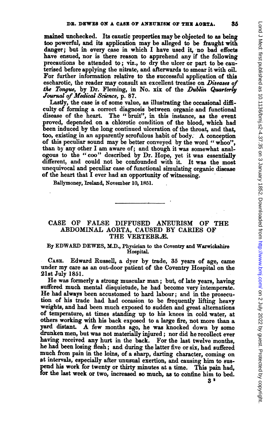mained unchecked. Its caustic properties may be objected to as being too powerful, and its application may be alleged to be fraught with danger; but in every case in which I have used it, no bad effects have ensued, nor is there reason to apprehend any if the following precautions be attended to; viz., to dry the ulcer or part to be cauterised before applying the nitrate, and afterwards to smear it with oil. For further information relative to the successful application of this escharotic, the reader may consult an excellent treatise on Diseases of the Tongue, by Dr. Fleming, in No. xix of the Dublin Quarterly Journal of Medical Science, p. 87.

Lastly, the case is of some value, as illustrating the occasional difficulty of forming a correct diagnosis between organic and functional disease of the heart. The "bruit", in this instance, as the event proved, depended on a chlorotic condition of the blood, which had been induced by the long continued ulceration of the throat, and that, too, existing in an apparently scrofulous habit of body. A conception of this peculiar sound may be better conveyed by the word " whoo", than by any other <sup>I</sup> am aware of; and though it was somewhat analogous to the "coo" described by Dr. Hope, yet it was essentially different, and could not be confounded with it. It was the most unequivocal and peculiar case of fimetional simulating organic disease of the heart that I ever had an opportunity of witnessing.

Ballymoney, Irelad, November 10, 1851.

## CASE OF FALSE DIFFUSED ANEURISM OF THE ABDOMINAL AORTA, CAUSED BY CARIES OF THE VERTEBRÆ.

### By EDWARD DEWES, M.D., Physician to the Coventry and Warwickshire HospitaL

CASE. Edward Russell, a dyer by trade, 35 years of age, came under my care as an out-door patient of the Coventry Hospital on the 21st July 1851.

He was formerly <sup>a</sup> strong muscular man; but, of late years, having suffered much mental disquietude, he had become very intemperate. He had always been accustomed to hard labour; and in the prosecution of his trade had had occasion to be frequently lifting heavy weights, and had been much exposed to sudden and great alternations of temperature, at times standing up to his knees in cold water, at others working with his back exposed to a large fire, not more than a yard distant. A few months ago, he was knocked down by some drunken men, but was not materially injured; nor did he recollect ever having received any hurt in the back. For the last twelve months, he had been losing flesh; and during the latter five or six, had suffered much from pain in the loins, of <sup>a</sup> sharp, darting character, coming on at intervals, especially after unusual exertion, and causing him to suspend his work for twenty or thirty miutes at a time. This pain had, for the last week or two, increased so much, as to confine him to bed.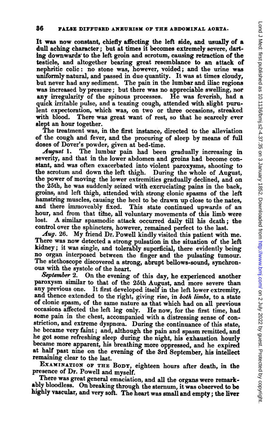It was now constant, chiefly affecting the left side, and usually of a dull aching character; but at times it becomes extremely severe, darting downwards to the left groin and scrotum, causing retraction of the testicle, and altogether bearing great resemblance to an attack of nephritic colic: no stone was, however, voided; and the urine was uniformly natural, and passed in due quantity. It was at times cloudy, but never had any sediment. The pain in the lumbar and iliac regions was increased by pressure; but there was no appreciable swelling, nor any irregularity of the spinous processes. He was feverish, had a quick irritable pulse, and a teazing cough, attended with slight purulent expectoration, which was, on two or three occasions, streaked with blood. There was great want of rest, so that he scarcely ever There was great want of rest, so that he scarcely ever slept an hour together.

The treatment was, in the first instance, directed to the alleviation of the cough and fever, and the procuring of sleep by means of full doses of Dover's powder, given at bed-time.<br>*August* 1. The lumbar pain had been

The lumbar pain had been gradually increasing in severity, and that in the lower abdomen and groins had become constant, and was often exacerbated into violent paroxysms, shooting to the scrotum and down the left thigh. During the wholc of August, the power of moving the lower extremities gradually declined, and on the 25th, he was suddenly seized with excruciating pains in the back, groins, and left thigh, attended with strong clonic spasms of the left hamstring muscles, causing the heel to be drawn up close to the nates, and there immoveably fixed. This state continued upwards of an This state continued upwards of an hour, and from that time, all voluntary movements of this limb were lost. A similar spasmodic attack occurred daily till his death; the control over the sphincters, however, remained perfect to the last.

Aug. 26. My friend Dr. Powell kindly visited this patient with me. There was now detected <sup>a</sup> strong pulsation in the situation of the left kidney; it was single, and tolerably superficial, there evidently being no organ interposed between the finger and the pulsating tumour. The stethoscope discovered <sup>a</sup> strong, abrupt bellows-sound, synchronous with the systole of the heart.

September 2. On the evening of this day, he experienced another paroxysm similar to that of the 25th August, and more severe than any previous one. It first developed itself in the left lower extremity, and thence extended to the right, giving rise, in both limbs, to a state of clonic spasm, of the same nature as that which had on all previous occasions affected the left leg only. He now, for the first time, had some pain in the chest, accompanied with a distressing sense of constriction, and extreme dyspnœa. During the continuance of this state, he became very faint; and, although the pain and spasm remitted, and he got some refreshing sleep during the night, his exhaustion hourly became more apparent, his breathing more oppressed, and he expired at half past nine on the evening of the 3rd September, his intellect remaining clear to the last.

EXAMINATION OF THE BODY, eighteen hours after death, in the presence of Dr. Powell and myself.

There was great general emaciation, and all the organs were remarkably bloodless. On breaking through the sternum, it was observed to be highly vascular, and very soft. The heart was small and empty; the liver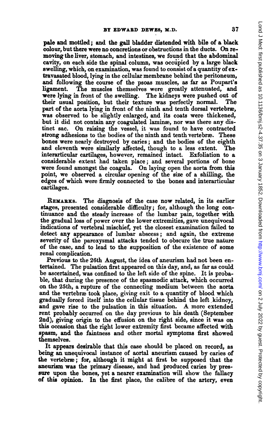pale and mottled; and the gall bladder distended with bile of a black colour, but there were no concretions or obstructions in the ducts. On removing the liver, stomach, and intestines, we found that the abdominal cavity, on each side the spinal column, was occuipied by a large black swelling, which, on examination, was found to consist of a quantity ofextravasated blood, lying in the cellular membrane behind the peritoneum, and following the course of the psoas muscles, as far as Poupart's ligament. The muscles themselves were greatly attenuated, and were lying in front of the swelling. The kidneys were pushed out of their usual position, but their texture was perfectly normal. part of the aorta lying in front of the ninth and tenth dorsal vertebræ, was observed to be slightly enlarged, and its coats were thickened, but it did not contain any coagulated laminæ, nor was there any distinct sac. On raising the vessel, it was found to have contracted On raising the vessel, it was found to have contracted strong adhesions to the bodies of the ninth and tenth vertebree. These bones were nearly destroyed by caries; and the bodies of the eighth and eleventh were similarly affected, though to a less extent. The interarticular cartilages, however, remained intact. Exfoliation to a considerable extent had taken place; and several portions of bone were found amongst the coagula. On laying open the aorta from this point, we observed a circular opening of the size of a shilling, the edges of which were firmly connected to the bones and interarticular cartilages.

REMARxs. The diagnosis of the case now related, in its earlier stages, presented considerable difficulty; for, although the long continuance and the steady increase of the lumbar pain, together with the gradual loss of power over the lower extremities, gave unequivocal indications of vertebral mischief, yet the closest examination failed to detect any appearance of lumbar abscess; and again, the extreme severity of the paroxysmal attacks tended to obscure the true nature of the case, and to lead to the supposition of the existence of some renal complication.

Previous to the 26th August, the idea of aneurism had not been entertained. The pulsation first appeared on this day, and, as far as could be ascertained, was confined to the left side of the spine. It is probable, that during the presence of the spasmodic attack, which occurred on the 25th, a rupture of the connecting medium between the aorta and the vertebræ took place, giving exit to a quantity of blood which gradually forced itself into the cellular tissue behind the left kidney, and gave rise to the pulsation in this situation. A more extended rent probably occurred on the day previous to his death (September 2nd), giving origin to the effusion on the right side, since it was on this occasion that the right lower extremity first became affected with spasm, and the faintness and other mortal symptoms first showed themselves.

It appears desirable that this case should be placed on record, as being an unequivocal instance of aortal aneurism caused by caries of the vertebre; for, although it might at first be supposed that the aneurism was the primary disease, and had produced caries by pressure upon the bones, yet a nearer examination will show the fallacy of this opinion. In the first place, the calibre of the artery, even